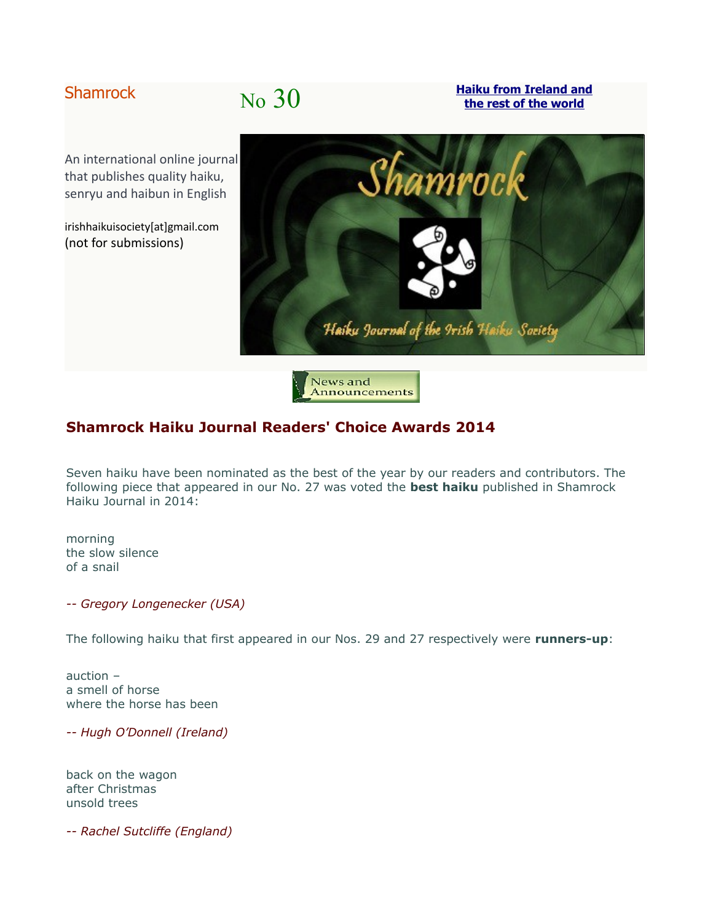# Shamrock No 30

**[Haiku from Ireland and](http://shamrockhaiku.webs.com/) [the rest of the world](http://shamrockhaiku.webs.com/)**

An international online journal that publishes quality haiku, senryu and haibun in English

irishhaikuisociety[at]gmail.com (not for submissions)



News and Announcements

# **Shamrock Haiku Journal Readers' Choice Awards 2014**

Seven haiku have been nominated as the best of the year by our readers and contributors. The following piece that appeared in our No. 27 was voted the **best haiku** published in Shamrock Haiku Journal in 2014:

morning the slow silence of a snail

*-- Gregory Longenecker (USA)*

The following haiku that first appeared in our Nos. 29 and 27 respectively were **runners-up**:

auction – a smell of horse where the horse has been

*-- Hugh O'Donnell (Ireland)*

back on the wagon after Christmas unsold trees

*-- Rachel Sutcliffe (England)*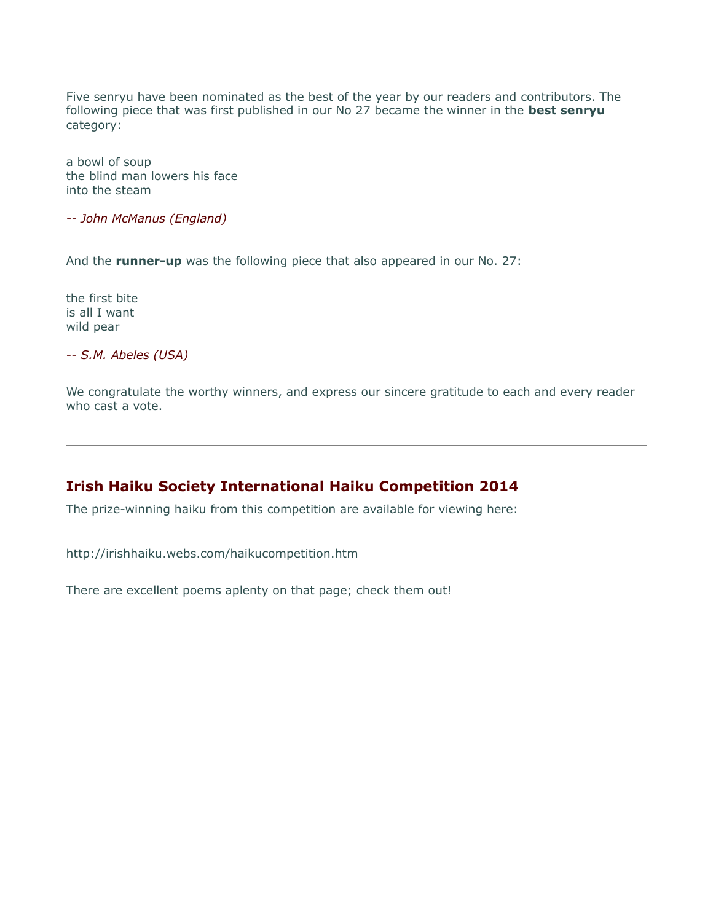Five senryu have been nominated as the best of the year by our readers and contributors. The following piece that was first published in our No 27 became the winner in the **best senryu** category:

a bowl of soup the blind man lowers his face into the steam

*-- John McManus (England)*

And the **runner-up** was the following piece that also appeared in our No. 27:

the first bite is all I want wild pear

*-- S.M. Abeles (USA)*

We congratulate the worthy winners, and express our sincere gratitude to each and every reader who cast a vote.

## **Irish Haiku Society International Haiku Competition 2014**

The prize-winning haiku from this competition are available for viewing here:

http://irishhaiku.webs.com/haikucompetition.htm

There are excellent poems aplenty on that page; check them out!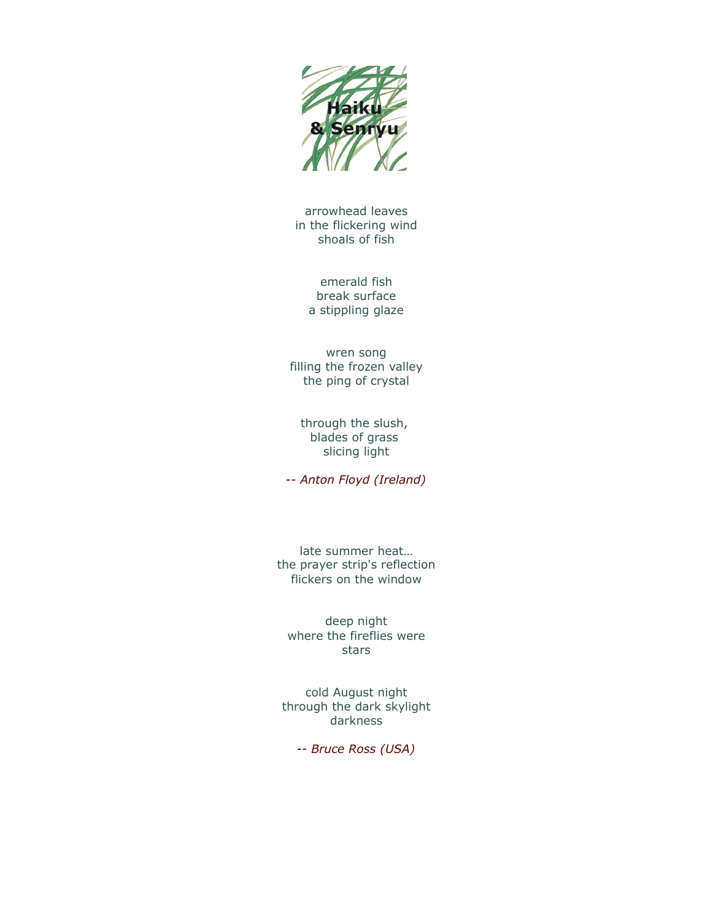

arrowhead leaves in the flickering wind shoals of fish

> emerald fish break surface a stippling glaze

wren song filling the frozen valley the ping of crystal

through the slush, blades of grass slicing light

*-- Anton Floyd (Ireland)*

late summer heat… the prayer strip's reflection flickers on the window

deep night where the fireflies were stars

cold August night through the dark skylight darkness

*-- Bruce Ross (USA)*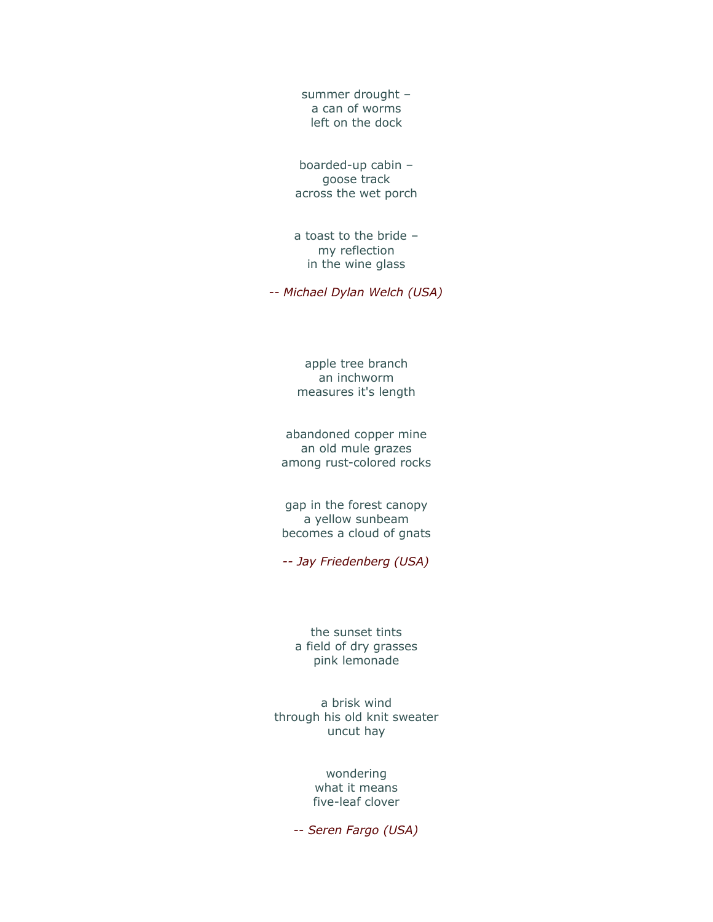summer drought – a can of worms left on the dock

boarded-up cabin – goose track across the wet porch

a toast to the bride – my reflection in the wine glass

*-- Michael Dylan Welch (USA)*

apple tree branch an inchworm measures it's length

abandoned copper mine an old mule grazes among rust-colored rocks

gap in the forest canopy a yellow sunbeam becomes a cloud of gnats

*-- Jay Friedenberg (USA)*

the sunset tints a field of dry grasses pink lemonade

a brisk wind through his old knit sweater uncut hay

> wondering what it means five-leaf clover

*-- Seren Fargo (USA)*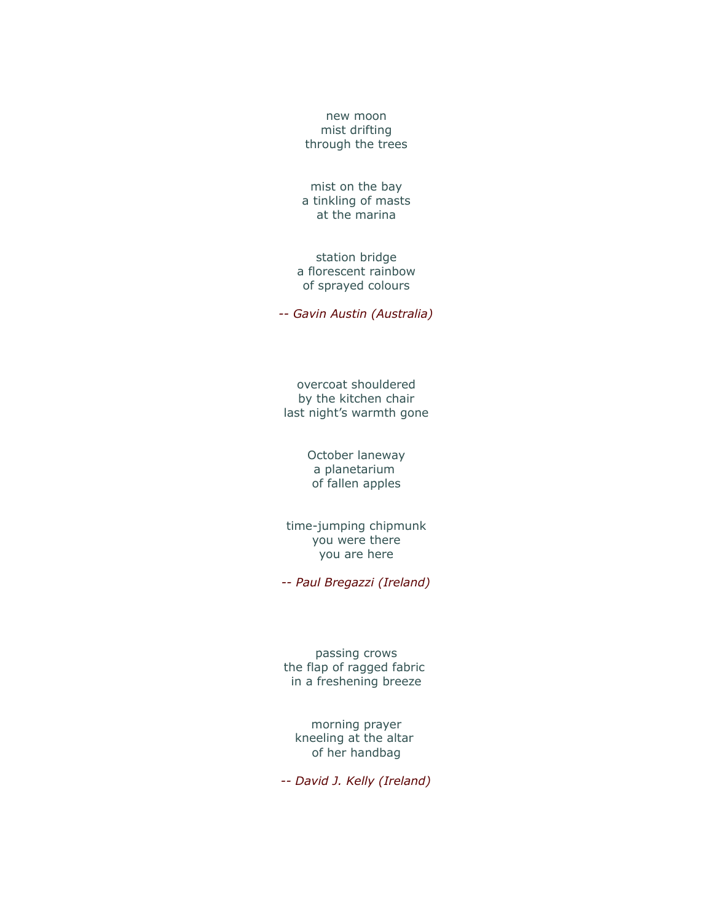new moon mist drifting through the trees

mist on the bay a tinkling of masts at the marina

station bridge a florescent rainbow of sprayed colours

*-- Gavin Austin (Australia)*

overcoat shouldered by the kitchen chair last night's warmth gone

> October laneway a planetarium of fallen apples

time-jumping chipmunk you were there you are here

*-- Paul Bregazzi (Ireland)*

passing crows the flap of ragged fabric in a freshening breeze

morning prayer kneeling at the altar of her handbag

*-- David J. Kelly (Ireland)*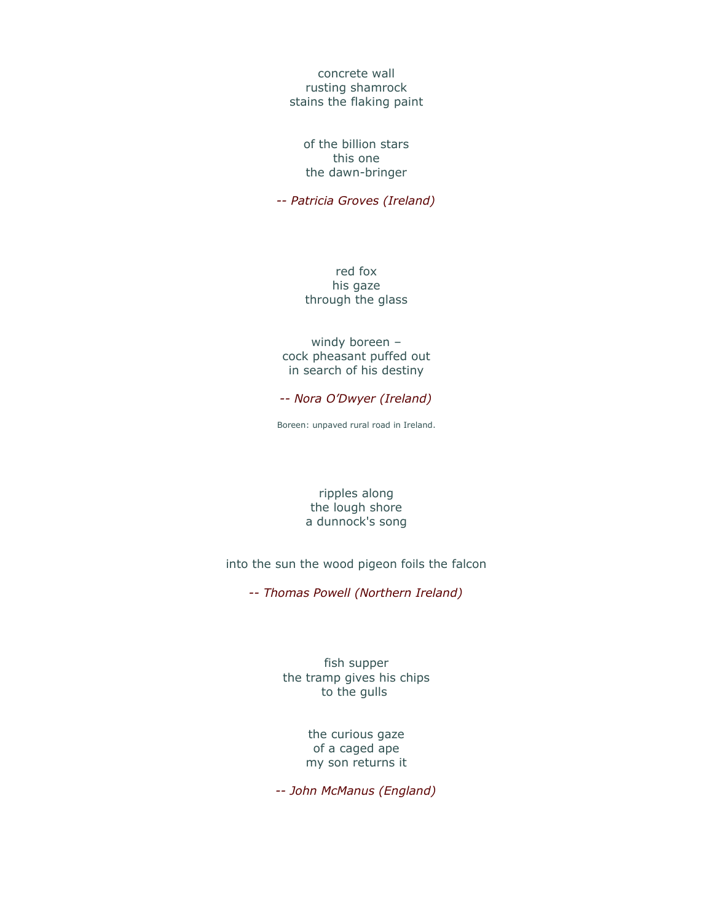concrete wall rusting shamrock stains the flaking paint

of the billion stars this one the dawn-bringer

*-- Patricia Groves (Ireland)*

red fox his gaze through the glass

windy boreen – cock pheasant puffed out in search of his destiny

*-- Nora O'Dwyer (Ireland)*

Boreen: unpaved rural road in Ireland.

ripples along the lough shore a dunnock's song

into the sun the wood pigeon foils the falcon

*-- Thomas Powell (Northern Ireland)*

fish supper the tramp gives his chips to the gulls

> the curious gaze of a caged ape my son returns it

*-- John McManus (England)*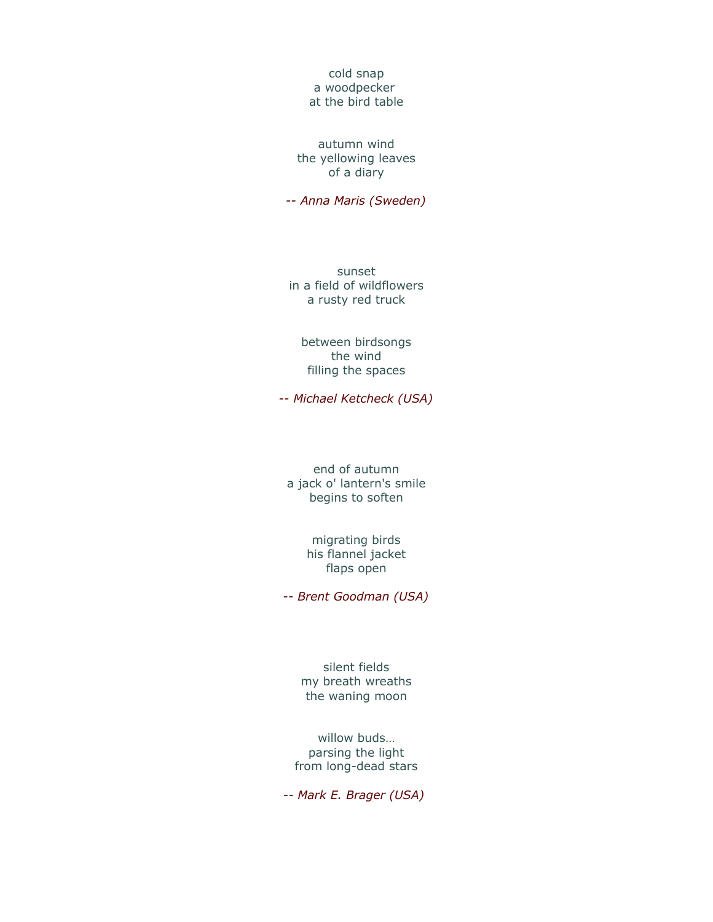cold snap a woodpecker at the bird table

autumn wind the yellowing leaves of a diary

*-- Anna Maris (Sweden)*

sunset in a field of wildflowers a rusty red truck

between birdsongs the wind filling the spaces

*-- Michael Ketcheck (USA)*

end of autumn a jack o' lantern's smile begins to soften

> migrating birds his flannel jacket flaps open

*-- Brent Goodman (USA)*

silent fields my breath wreaths the waning moon

willow buds… parsing the light from long-dead stars

*-- Mark E. Brager (USA)*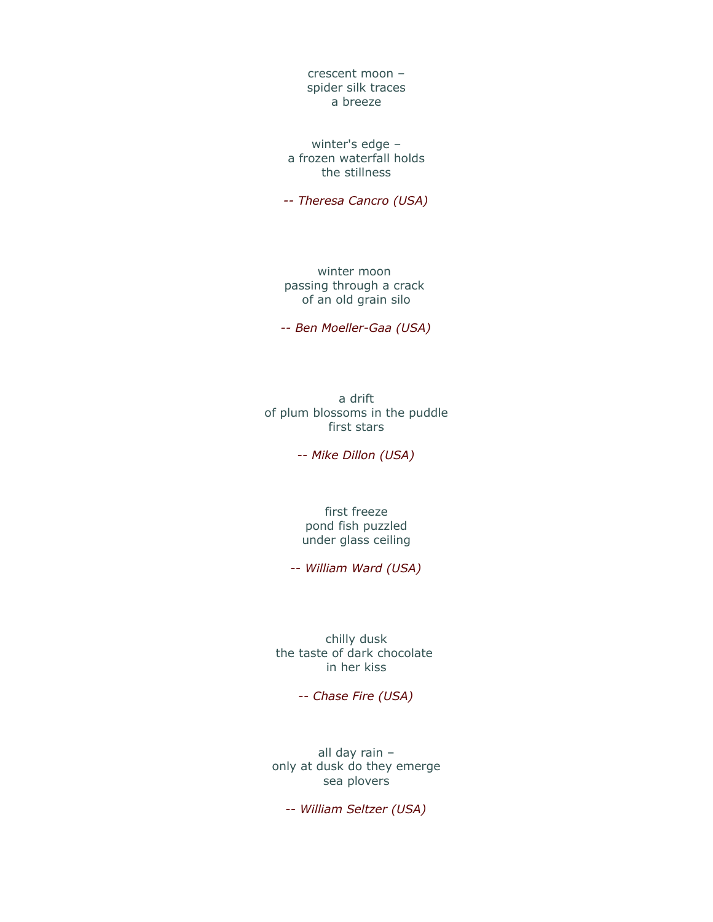crescent moon – spider silk traces a breeze

winter's edge – a frozen waterfall holds the stillness

*-- Theresa Cancro (USA)*

winter moon passing through a crack of an old grain silo

*-- Ben Moeller-Gaa (USA)*

a drift of plum blossoms in the puddle first stars

*-- Mike Dillon (USA)*

first freeze pond fish puzzled under glass ceiling

*-- William Ward (USA)*

chilly dusk the taste of dark chocolate in her kiss

*-- Chase Fire (USA)*

all day rain – only at dusk do they emerge sea plovers

*-- William Seltzer (USA)*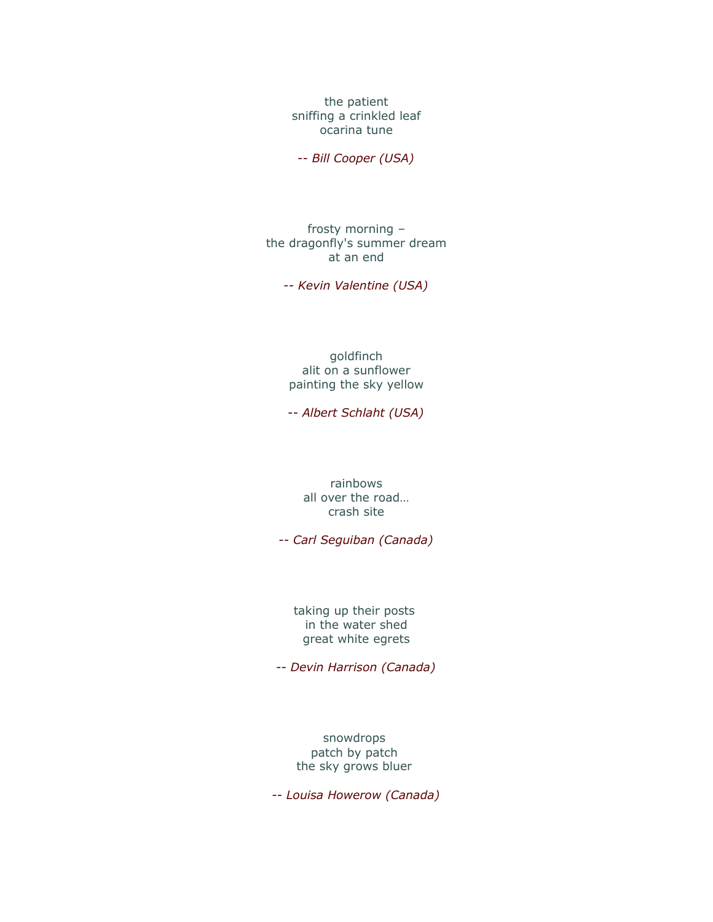the patient sniffing a crinkled leaf ocarina tune

*-- Bill Cooper (USA)*

frosty morning – the dragonfly's summer dream at an end

*-- Kevin Valentine (USA)*

goldfinch alit on a sunflower painting the sky yellow

*-- Albert Schlaht (USA)*

rainbows all over the road… crash site

*-- Carl Seguiban (Canada)*

taking up their posts in the water shed great white egrets

*-- Devin Harrison (Canada)*

snowdrops patch by patch the sky grows bluer

*-- Louisa Howerow (Canada)*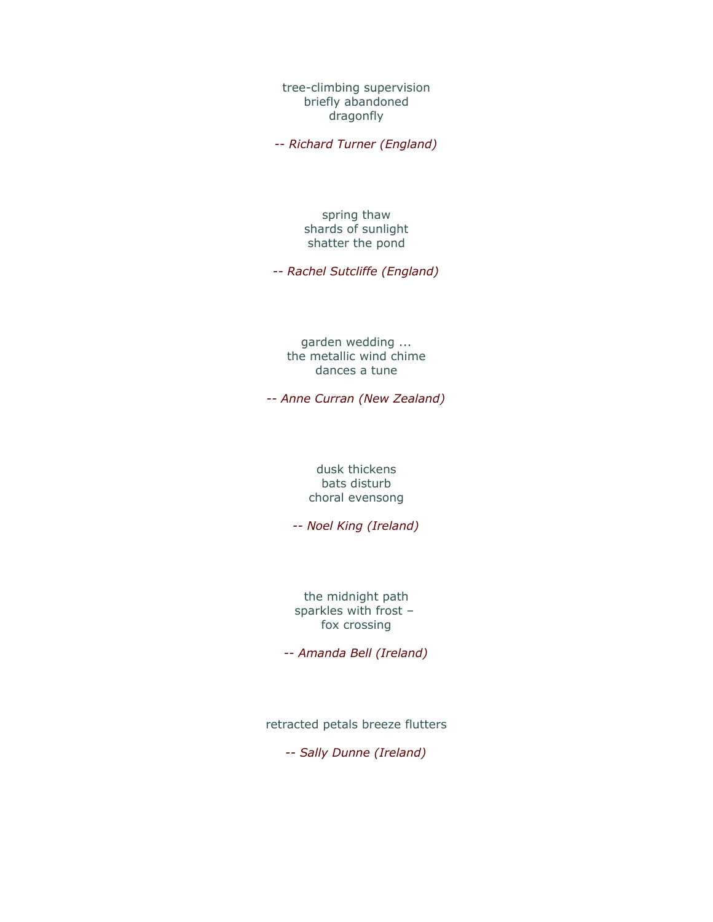tree-climbing supervision briefly abandoned dragonfly

*-- Richard Turner (England)*

#### spring thaw shards of sunlight shatter the pond

*-- Rachel Sutcliffe (England)*

#### garden wedding ... the metallic wind chime dances a tune

*-- Anne Curran (New Zealand)*

#### dusk thickens bats disturb choral evensong

*-- Noel King (Ireland)*

the midnight path sparkles with frost – fox crossing

*-- Amanda Bell (Ireland)*

retracted petals breeze flutters

*-- Sally Dunne (Ireland)*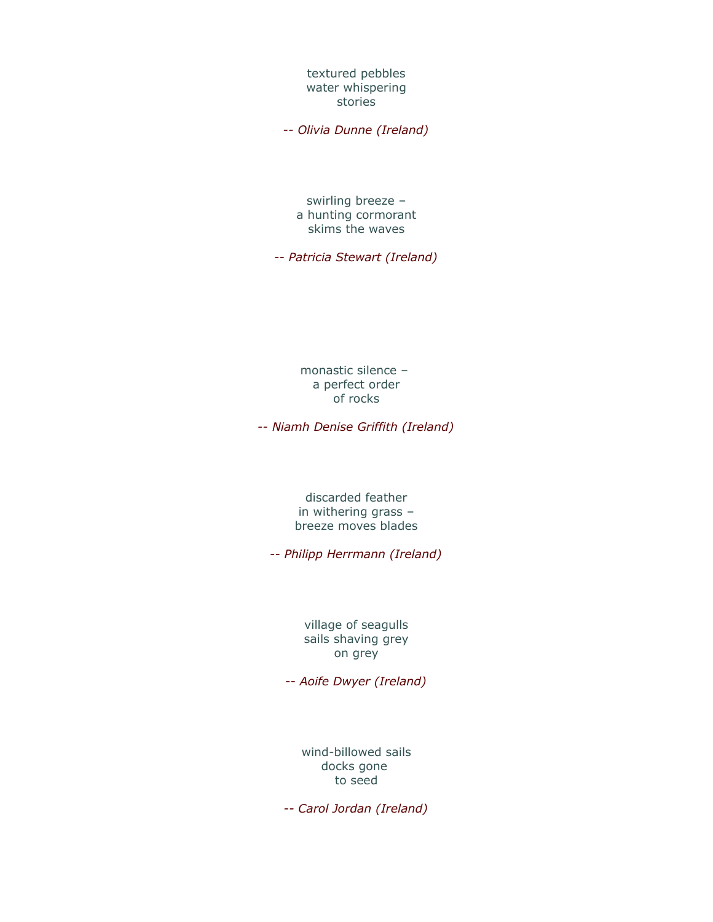textured pebbles water whispering stories

*-- Olivia Dunne (Ireland)*

swirling breeze – a hunting cormorant skims the waves

*-- Patricia Stewart (Ireland)*

monastic silence – a perfect order of rocks

*-- Niamh Denise Griffith (Ireland)*

discarded feather in withering grass – breeze moves blades

*-- Philipp Herrmann (Ireland)*

village of seagulls sails shaving grey on grey

*-- Aoife Dwyer (Ireland)*

wind-billowed sails docks gone to seed

*-- Carol Jordan (Ireland)*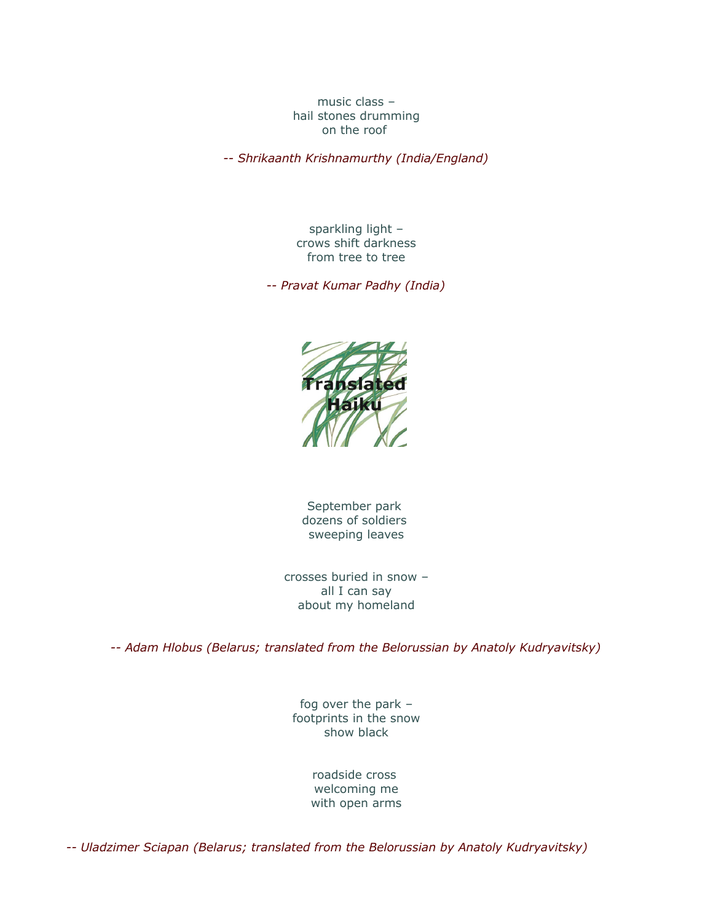music class – hail stones drumming on the roof

*-- Shrikaanth Krishnamurthy (India/England)*

sparkling light – crows shift darkness from tree to tree

*-- Pravat Kumar Padhy (India)*



September park dozens of soldiers sweeping leaves

crosses buried in snow – all I can say about my homeland

*-- Adam Hlobus (Belarus; translated from the Belorussian by Anatoly Kudryavitsky)*

fog over the park – footprints in the snow show black

> roadside cross welcoming me with open arms

*-- Uladzimer Sciapan (Belarus; translated from the Belorussian by Anatoly Kudryavitsky)*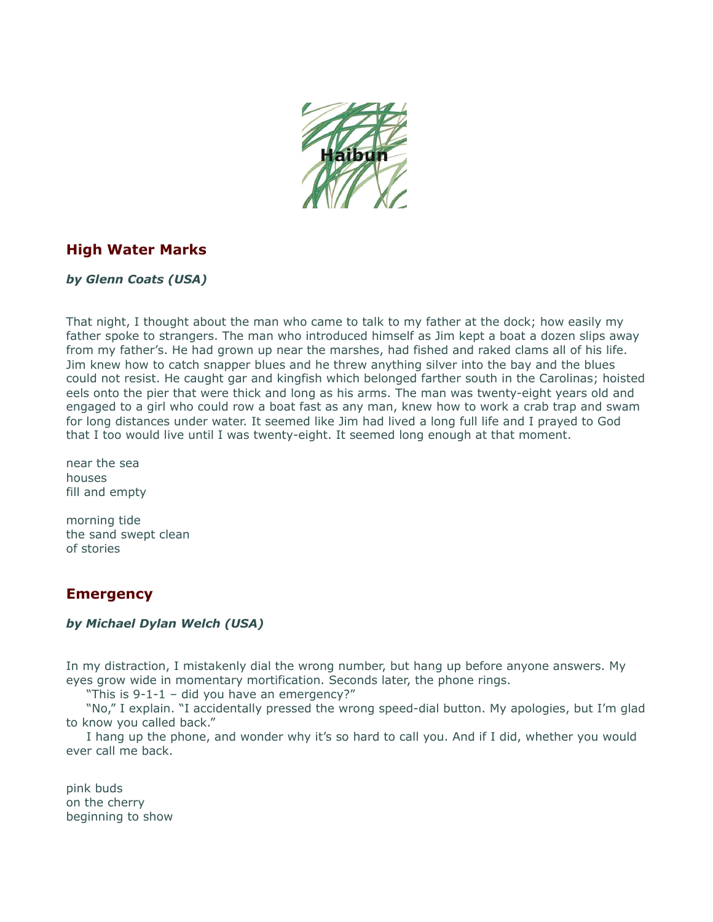

# **High Water Marks**

*by Glenn Coats (USA)*

That night, I thought about the man who came to talk to my father at the dock; how easily my father spoke to strangers. The man who introduced himself as Jim kept a boat a dozen slips away from my father's. He had grown up near the marshes, had fished and raked clams all of his life. Jim knew how to catch snapper blues and he threw anything silver into the bay and the blues could not resist. He caught gar and kingfish which belonged farther south in the Carolinas; hoisted eels onto the pier that were thick and long as his arms. The man was twenty-eight years old and engaged to a girl who could row a boat fast as any man, knew how to work a crab trap and swam for long distances under water. It seemed like Jim had lived a long full life and I prayed to God that I too would live until I was twenty-eight. It seemed long enough at that moment.

near the sea houses fill and empty

morning tide the sand swept clean of stories

# **Emergency**

#### *by Michael Dylan Welch (USA)*

In my distraction, I mistakenly dial the wrong number, but hang up before anyone answers. My eyes grow wide in momentary mortification. Seconds later, the phone rings.

"This is 9-1-1 – did you have an emergency?"

"No," I explain. "I accidentally pressed the wrong speed-dial button. My apologies, but I'm glad to know you called back."

I hang up the phone, and wonder why it's so hard to call you. And if I did, whether you would ever call me back.

pink buds on the cherry beginning to show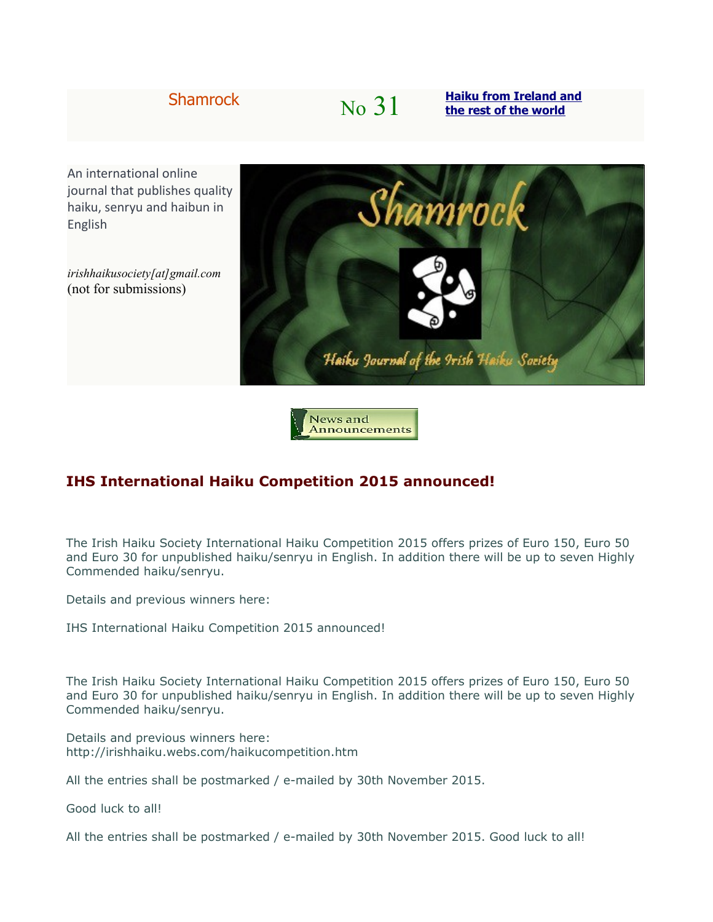# Shamrock **No**  $\frac{31}{100}$  **[Haiku from Ireland and](http://shamrockhaiku.webs.com/)**

An international online journal that publishes quality haiku, senryu and haibun in English

*irishhaikusociety[at]gmail.com* (not for submissions)



News and Announcements

# **IHS International Haiku Competition 2015 announced!**

The Irish Haiku Society International Haiku Competition 2015 offers prizes of Euro 150, Euro 50 and Euro 30 for unpublished haiku/senryu in English. In addition there will be up to seven Highly Commended haiku/senryu.

Details and previous winners here:

IHS International Haiku Competition 2015 announced!

The Irish Haiku Society International Haiku Competition 2015 offers prizes of Euro 150, Euro 50 and Euro 30 for unpublished haiku/senryu in English. In addition there will be up to seven Highly Commended haiku/senryu.

Details and previous winners here: http://irishhaiku.webs.com/haikucompetition.htm

All the entries shall be postmarked / e-mailed by 30th November 2015.

Good luck to all!

All the entries shall be postmarked / e-mailed by 30th November 2015. Good luck to all!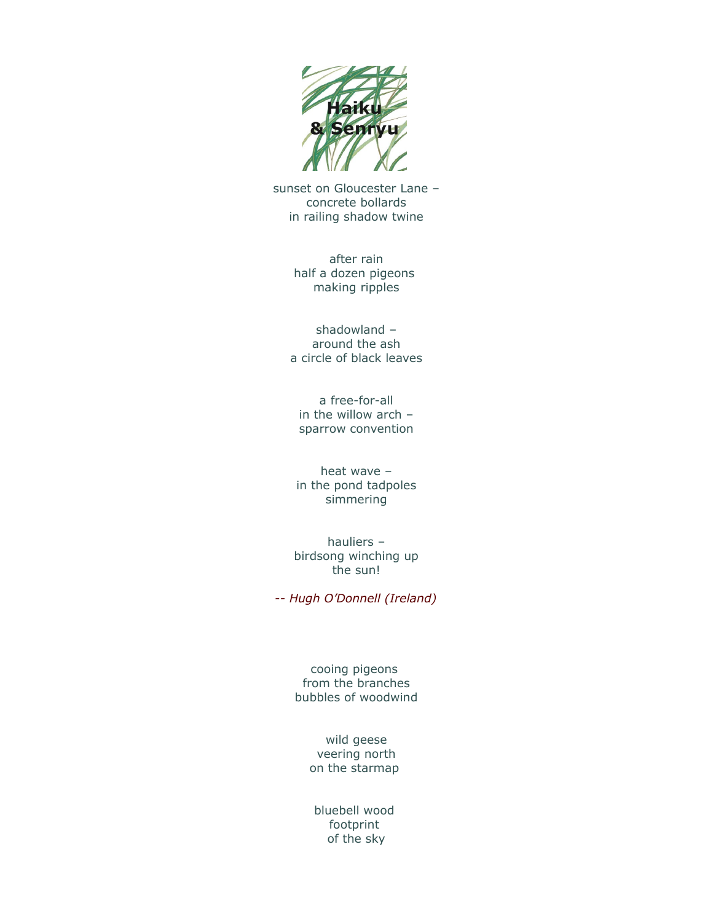

sunset on Gloucester Lane – concrete bollards in railing shadow twine

> after rain half a dozen pigeons making ripples

shadowland – around the ash a circle of black leaves

a free-for-all in the willow arch – sparrow convention

heat wave – in the pond tadpoles simmering

hauliers – birdsong winching up the sun!

*-- Hugh O'Donnell (Ireland)*

cooing pigeons from the branches bubbles of woodwind

> wild geese veering north on the starmap

bluebell wood footprint of the sky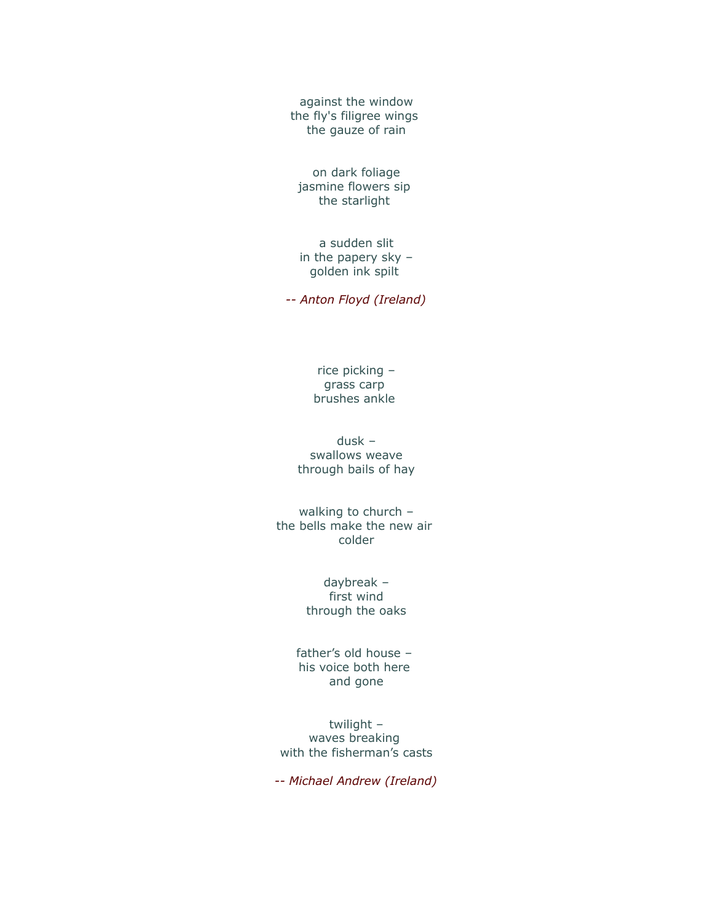against the window the fly's filigree wings the gauze of rain

on dark foliage jasmine flowers sip the starlight

a sudden slit in the papery sky – golden ink spilt

*-- Anton Floyd (Ireland)*

rice picking – grass carp brushes ankle

dusk – swallows weave through bails of hay

walking to church – the bells make the new air colder

> daybreak – first wind through the oaks

father's old house – his voice both here and gone

twilight – waves breaking with the fisherman's casts

*-- Michael Andrew (Ireland)*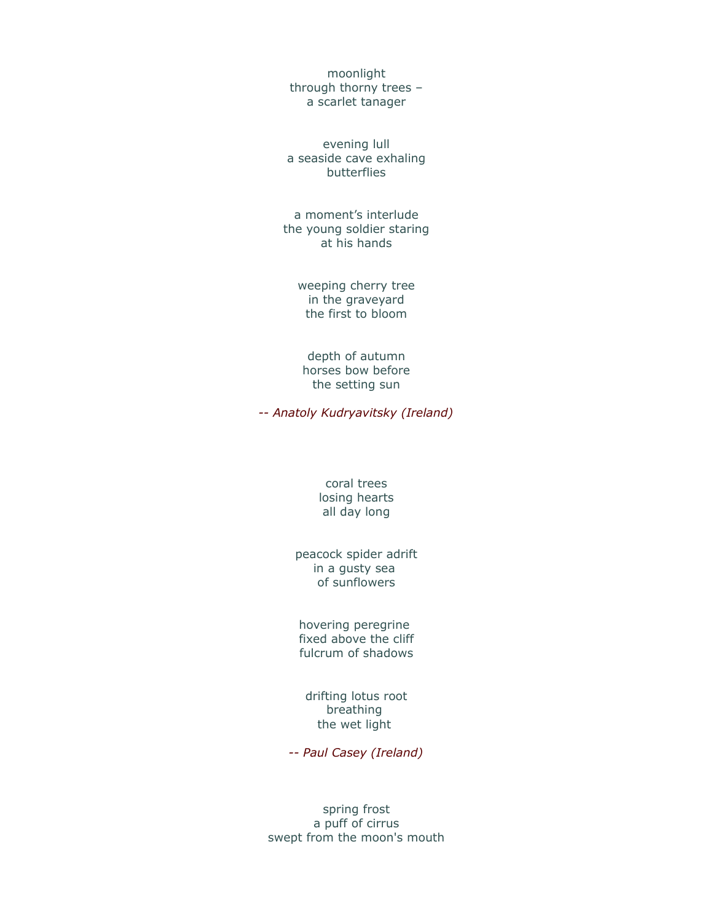moonlight through thorny trees – a scarlet tanager

evening lull a seaside cave exhaling butterflies

a moment's interlude the young soldier staring at his hands

> weeping cherry tree in the graveyard the first to bloom

depth of autumn horses bow before the setting sun

*-- Anatoly Kudryavitsky (Ireland)*

#### coral trees losing hearts all day long

peacock spider adrift in a gusty sea of sunflowers

hovering peregrine fixed above the cliff fulcrum of shadows

drifting lotus root breathing the wet light

*-- Paul Casey (Ireland)*

spring frost a puff of cirrus swept from the moon's mouth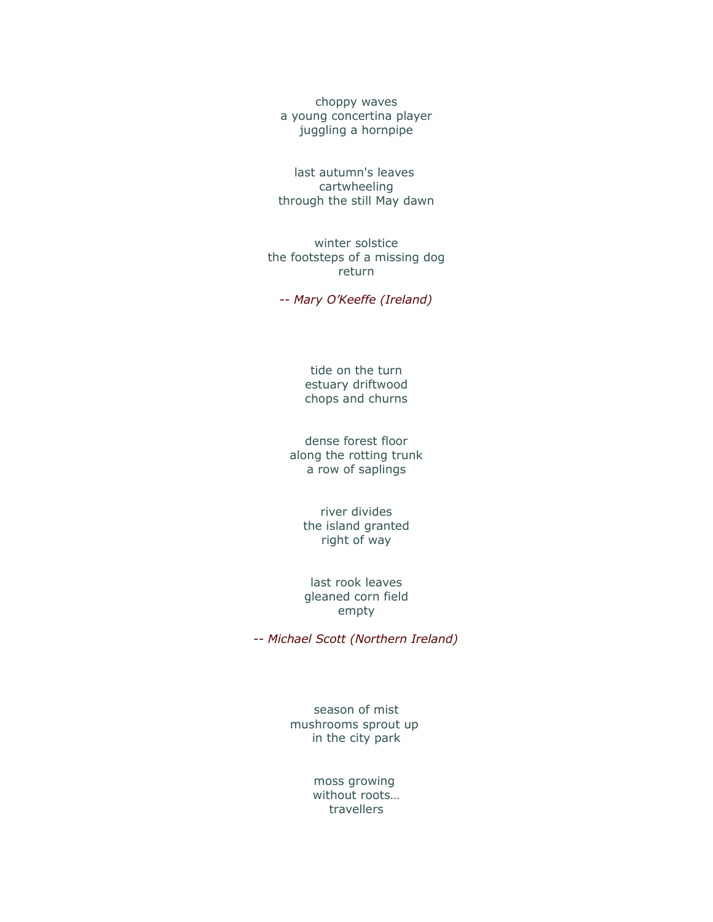choppy waves a young concertina player juggling a hornpipe

last autumn's leaves cartwheeling through the still May dawn

winter solstice the footsteps of a missing dog return

*-- Mary O'Keeffe (Ireland)*

tide on the turn estuary driftwood chops and churns

dense forest floor along the rotting trunk a row of saplings

river divides the island granted right of way

last rook leaves gleaned corn field empty

*-- Michael Scott (Northern Ireland)*

season of mist mushrooms sprout up in the city park

> moss growing without roots… travellers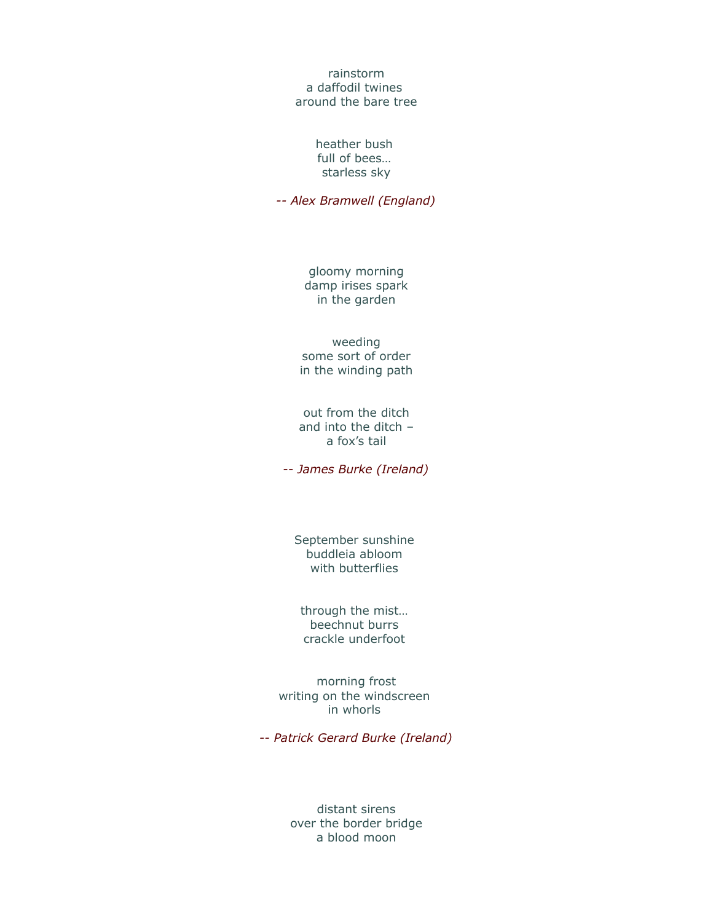#### rainstorm a daffodil twines around the bare tree

#### heather bush full of bees… starless sky

*-- Alex Bramwell (England)*

gloomy morning damp irises spark in the garden

weeding some sort of order in the winding path

out from the ditch and into the ditch – a fox's tail

*-- James Burke (Ireland)*

September sunshine buddleia abloom with butterflies

through the mist… beechnut burrs crackle underfoot

morning frost writing on the windscreen in whorls

*-- Patrick Gerard Burke (Ireland)*

distant sirens over the border bridge a blood moon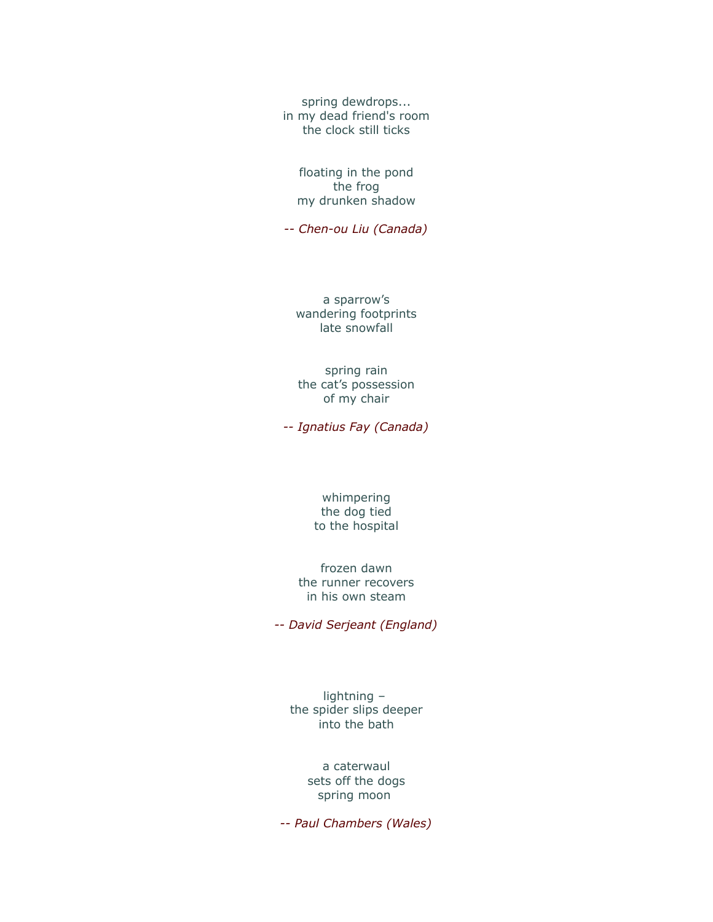spring dewdrops... in my dead friend's room the clock still ticks

floating in the pond the frog my drunken shadow

*-- Chen-ou Liu (Canada)*

a sparrow's wandering footprints late snowfall

spring rain the cat's possession of my chair

*-- Ignatius Fay (Canada)*

whimpering the dog tied to the hospital

frozen dawn the runner recovers in his own steam

*-- David Serjeant (England)*

lightning – the spider slips deeper into the bath

> a caterwaul sets off the dogs spring moon

*-- Paul Chambers (Wales)*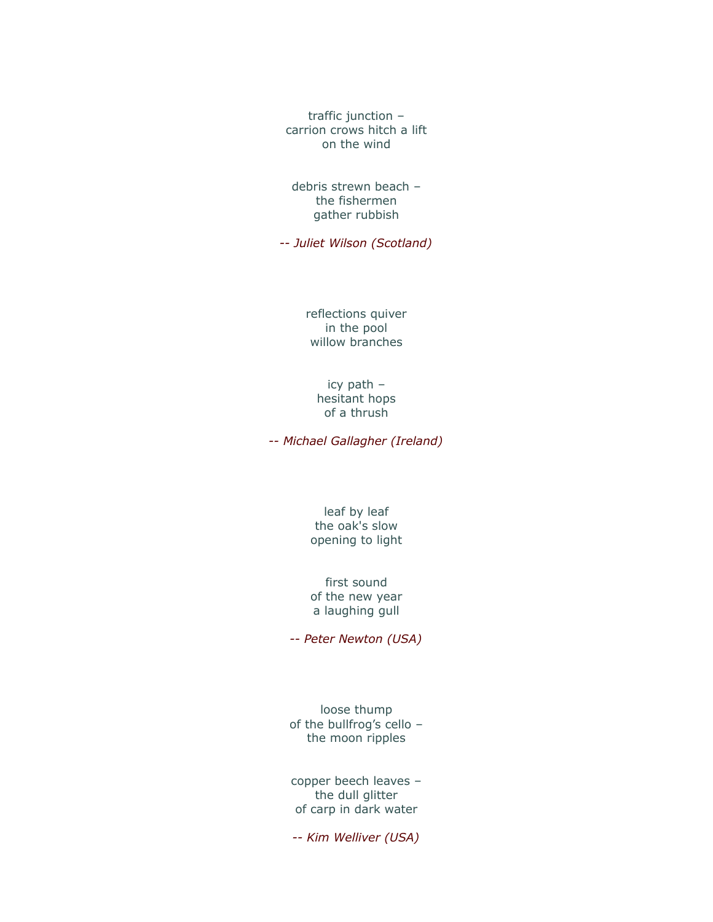traffic junction – carrion crows hitch a lift on the wind

debris strewn beach – the fishermen gather rubbish

*-- Juliet Wilson (Scotland)*

reflections quiver in the pool willow branches

### icy path – hesitant hops of a thrush

*-- Michael Gallagher (Ireland)*

leaf by leaf the oak's slow opening to light

first sound of the new year a laughing gull

*-- Peter Newton (USA)*

loose thump of the bullfrog's cello – the moon ripples

copper beech leaves – the dull glitter of carp in dark water

*-- Kim Welliver (USA)*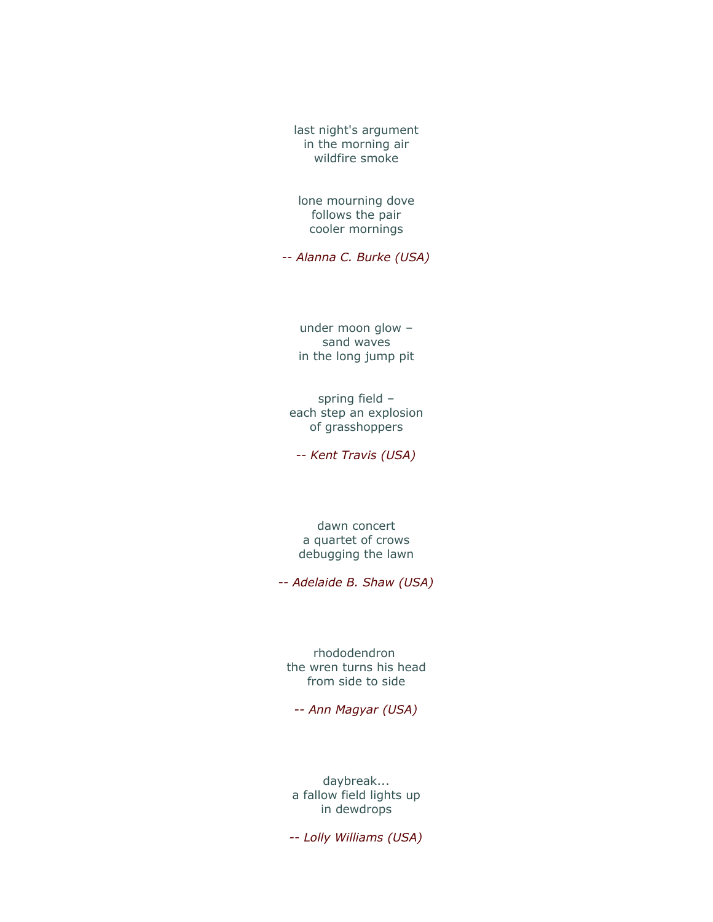last night's argument in the morning air wildfire smoke

lone mourning dove follows the pair cooler mornings

*-- Alanna C. Burke (USA)*

under moon glow – sand waves in the long jump pit

spring field – each step an explosion of grasshoppers

*-- Kent Travis (USA)*

dawn concert a quartet of crows debugging the lawn

*-- Adelaide B. Shaw (USA)*

rhododendron the wren turns his head from side to side

*-- Ann Magyar (USA)*

daybreak... a fallow field lights up in dewdrops

*-- Lolly Williams (USA)*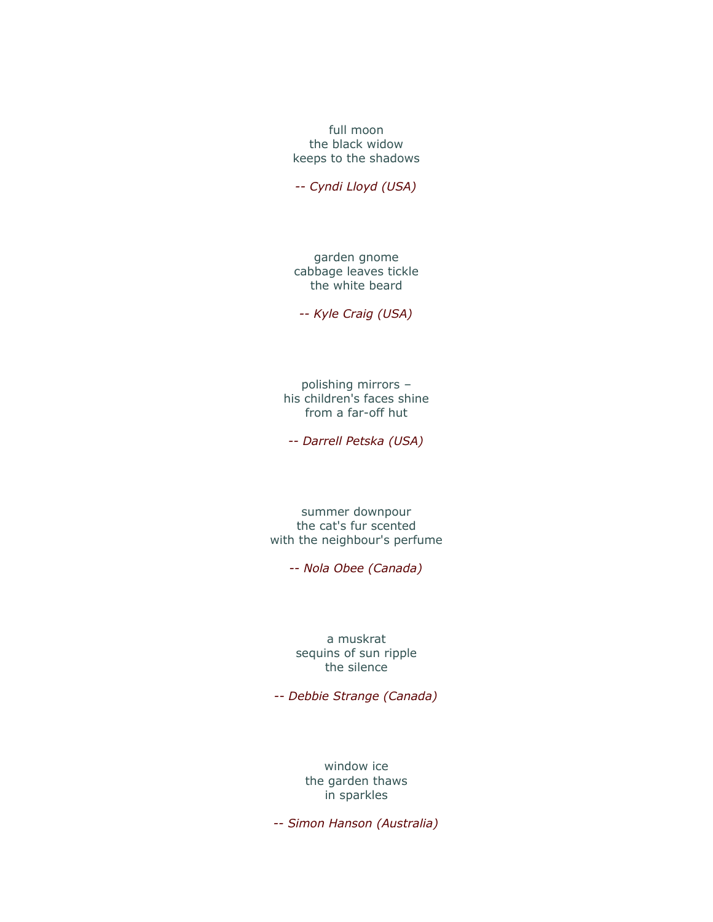full moon the black widow keeps to the shadows

*-- Cyndi Lloyd (USA)*

garden gnome cabbage leaves tickle the white beard

*-- Kyle Craig (USA)*

polishing mirrors – his children's faces shine from a far-off hut

*-- Darrell Petska (USA)*

summer downpour the cat's fur scented with the neighbour's perfume

*-- Nola Obee (Canada)*

a muskrat sequins of sun ripple the silence

*-- Debbie Strange (Canada)*

window ice the garden thaws in sparkles

*-- Simon Hanson (Australia)*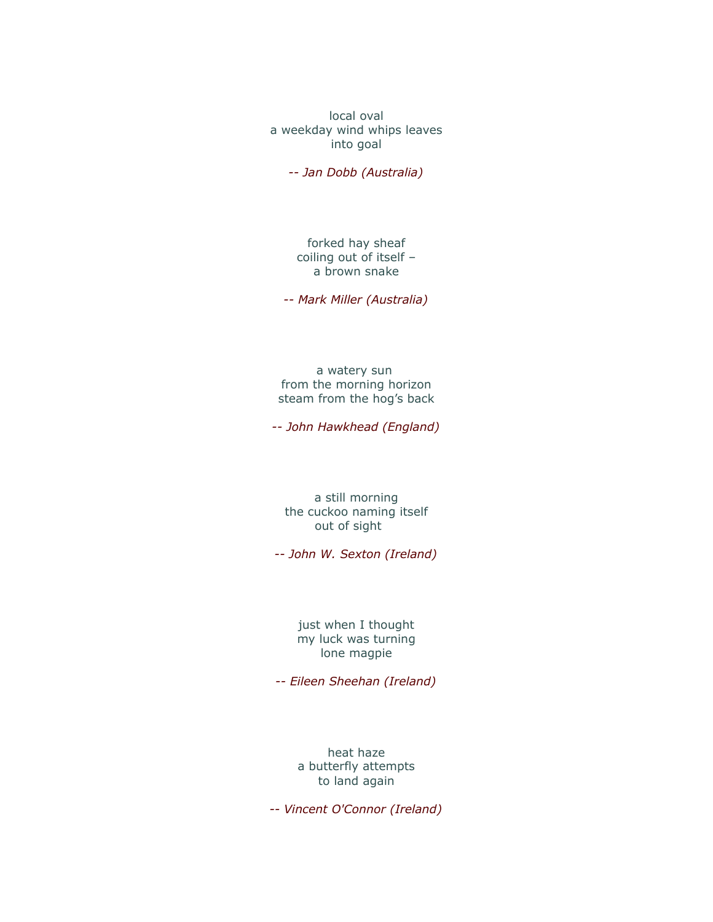local oval a weekday wind whips leaves into goal

*-- Jan Dobb (Australia)*

forked hay sheaf coiling out of itself – a brown snake

*-- Mark Miller (Australia)*

a watery sun from the morning horizon steam from the hog's back

*-- John Hawkhead (England)*

a still morning the cuckoo naming itself out of sight

*-- John W. Sexton (Ireland)*

just when I thought my luck was turning lone magpie

*-- Eileen Sheehan (Ireland)*

heat haze a butterfly attempts to land again

*-- Vincent O'Connor (Ireland)*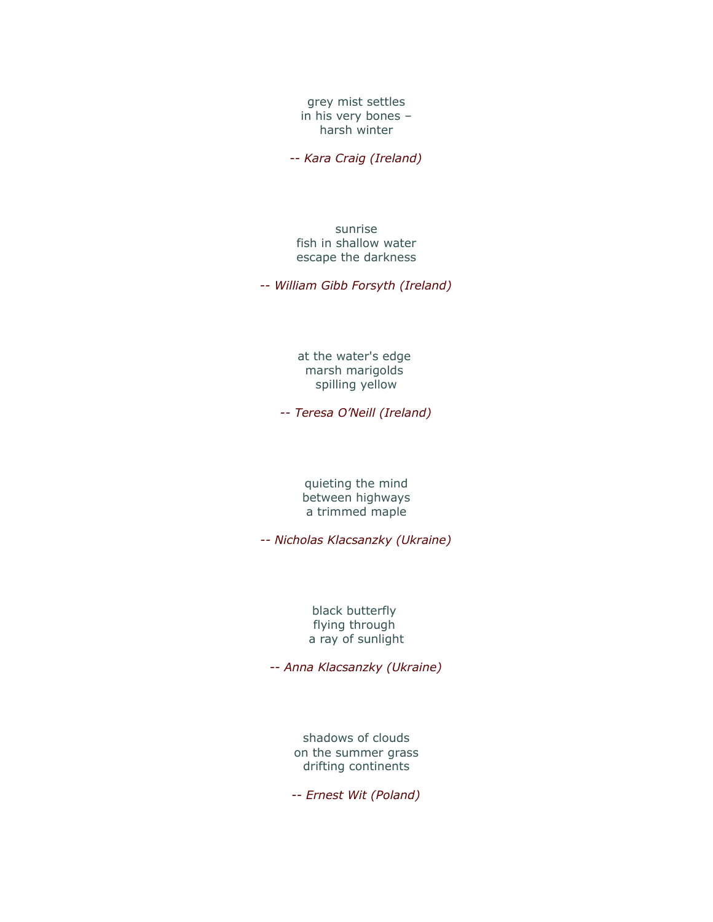grey mist settles in his very bones – harsh winter

*-- Kara Craig (Ireland)*

sunrise fish in shallow water escape the darkness

*-- William Gibb Forsyth (Ireland)*

at the water's edge marsh marigolds spilling yellow

*-- Teresa O'Neill (Ireland)*

quieting the mind between highways a trimmed maple

*-- Nicholas Klacsanzky (Ukraine)*

black butterfly flying through a ray of sunlight

*-- Anna Klacsanzky (Ukraine)*

shadows of clouds on the summer grass drifting continents

*-- Ernest Wit (Poland)*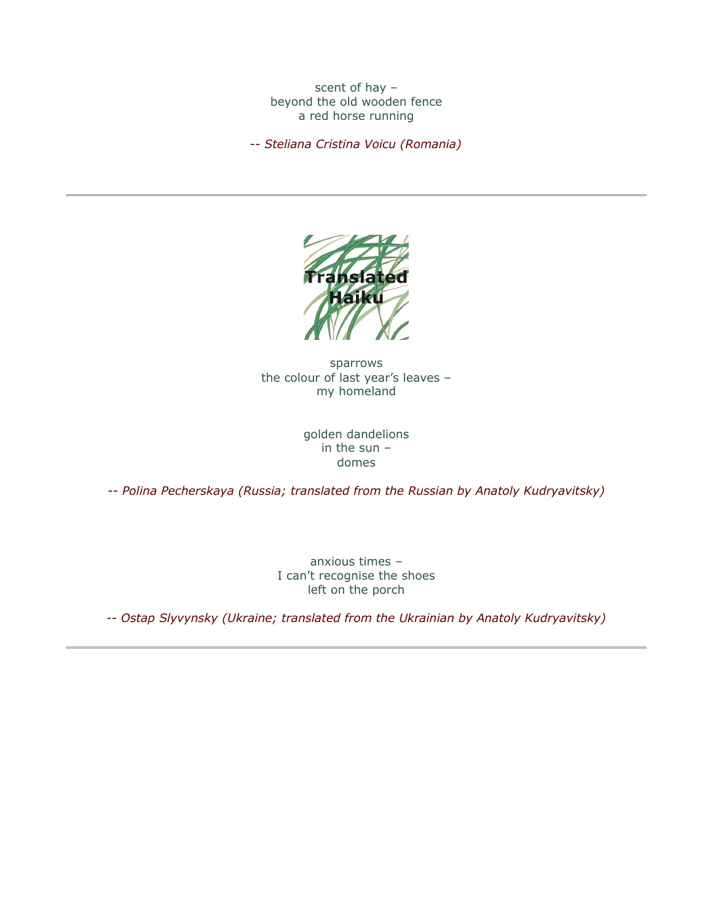scent of hay – beyond the old wooden fence a red horse running

*-- Steliana Cristina Voicu (Romania)*



sparrows the colour of last year's leaves – my homeland

> golden dandelions in the sun – domes

*-- Polina Pecherskaya (Russia; translated from the Russian by Anatoly Kudryavitsky)*

anxious times – I can't recognise the shoes left on the porch

*-- Ostap Slyvynsky (Ukraine; translated from the Ukrainian by Anatoly Kudryavitsky)*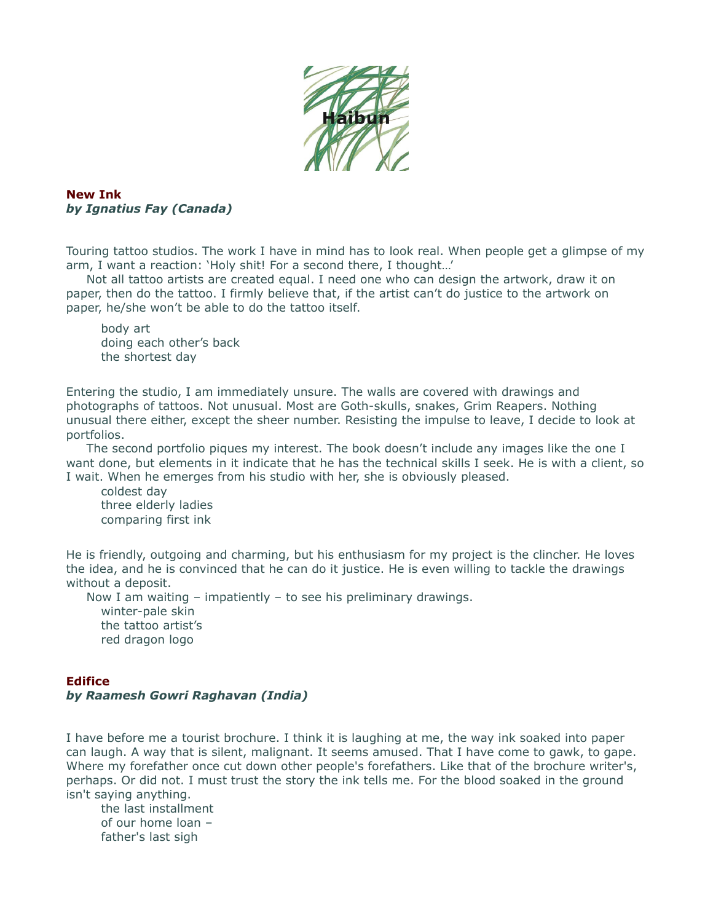

### **New Ink** *by Ignatius Fay (Canada)*

Touring tattoo studios. The work I have in mind has to look real. When people get a glimpse of my arm, I want a reaction: 'Holy shit! For a second there, I thought…'

 Not all tattoo artists are created equal. I need one who can design the artwork, draw it on paper, then do the tattoo. I firmly believe that, if the artist can't do justice to the artwork on paper, he/she won't be able to do the tattoo itself.

body art doing each other's back the shortest day

Entering the studio, I am immediately unsure. The walls are covered with drawings and photographs of tattoos. Not unusual. Most are Goth-skulls, snakes, Grim Reapers. Nothing unusual there either, except the sheer number. Resisting the impulse to leave, I decide to look at portfolios.

 The second portfolio piques my interest. The book doesn't include any images like the one I want done, but elements in it indicate that he has the technical skills I seek. He is with a client, so I wait. When he emerges from his studio with her, she is obviously pleased.

coldest day three elderly ladies comparing first ink

He is friendly, outgoing and charming, but his enthusiasm for my project is the clincher. He loves the idea, and he is convinced that he can do it justice. He is even willing to tackle the drawings without a deposit.

 Now I am waiting – impatiently – to see his preliminary drawings. winter-pale skin the tattoo artist's red dragon logo

### **Edifice** *by Raamesh Gowri Raghavan (India)*

I have before me a tourist brochure. I think it is laughing at me, the way ink soaked into paper can laugh. A way that is silent, malignant. It seems amused. That I have come to gawk, to gape. Where my forefather once cut down other people's forefathers. Like that of the brochure writer's, perhaps. Or did not. I must trust the story the ink tells me. For the blood soaked in the ground isn't saying anything.

the last installment of our home loan – father's last sigh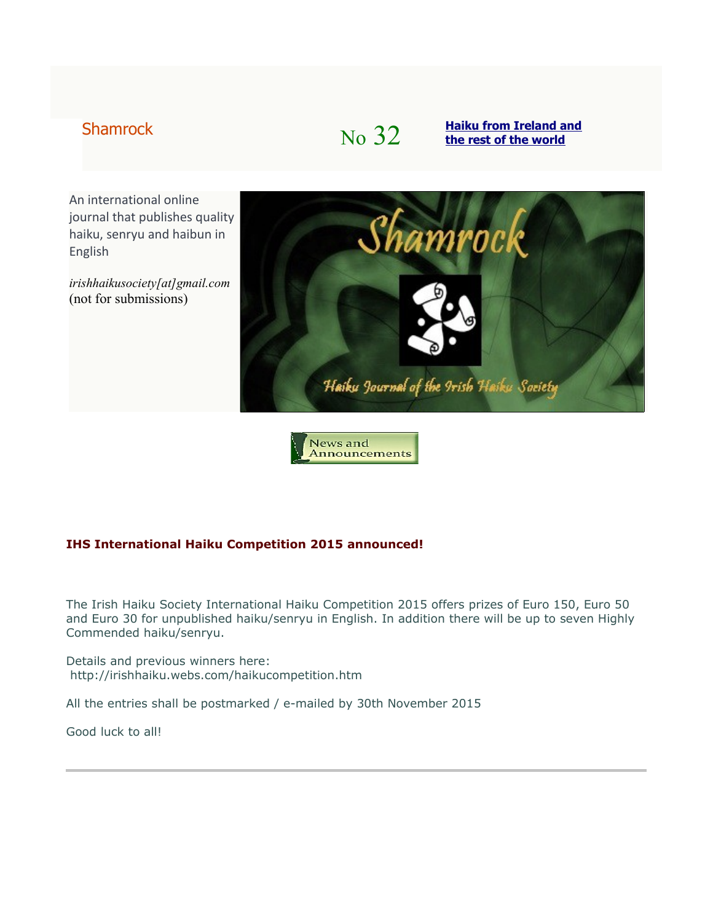# Shamrock **No**  $\frac{32}{\text{the rest of the world}}$  $\frac{32}{\text{the rest of the world}}$  $\frac{32}{\text{the rest of the world}}$

An international online journal that publishes quality haiku, senryu and haibun in English

*irishhaikusociety[at]gmail.com* (not for submissions)



News and Announcements

### **IHS International Haiku Competition 2015 announced!**

The Irish Haiku Society International Haiku Competition 2015 offers prizes of Euro 150, Euro 50 and Euro 30 for unpublished haiku/senryu in English. In addition there will be up to seven Highly Commended haiku/senryu.

Details and previous winners here: http://irishhaiku.webs.com/haikucompetition.htm

All the entries shall be postmarked / e-mailed by 30th November 2015

Good luck to all!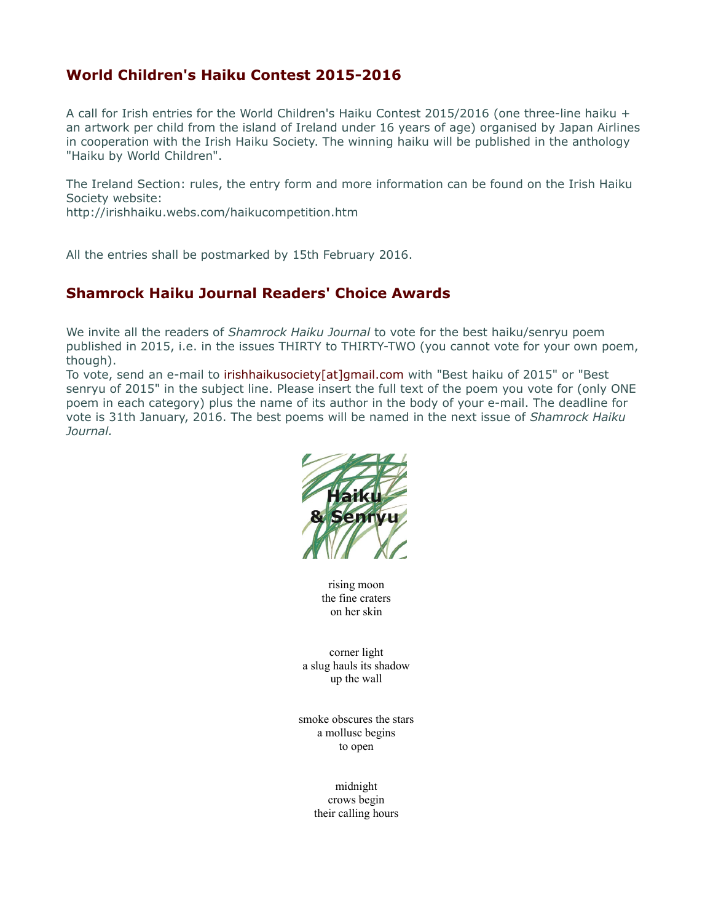# **World Children's Haiku Contest 2015-2016**

A call for Irish entries for the World Children's Haiku Contest 2015/2016 (one three-line haiku + an artwork per child from the island of Ireland under 16 years of age) organised by Japan Airlines in cooperation with the Irish Haiku Society. The winning haiku will be published in the anthology "Haiku by World Children".

The Ireland Section: rules, the entry form and more information can be found on the Irish Haiku Society website:

http://irishhaiku.webs.com/haikucompetition.htm

All the entries shall be postmarked by 15th February 2016.

## **Shamrock Haiku Journal Readers' Choice Awards**

We invite all the readers of *Shamrock Haiku Journal* to vote for the best haiku/senryu poem published in 2015, i.e. in the issues THIRTY to THIRTY-TWO (you cannot vote for your own poem, though).

To vote, send an e-mail to irishhaikusociety[at]gmail.com with "Best haiku of 2015" or "Best senryu of 2015" in the subject line. Please insert the full text of the poem you vote for (only ONE poem in each category) plus the name of its author in the body of your e-mail. The deadline for vote is 31th January, 2016. The best poems will be named in the next issue of *Shamrock Haiku Journal.*



rising moon the fine craters on her skin

corner light a slug hauls its shadow up the wall

smoke obscures the stars a mollusc begins to open

> midnight crows begin their calling hours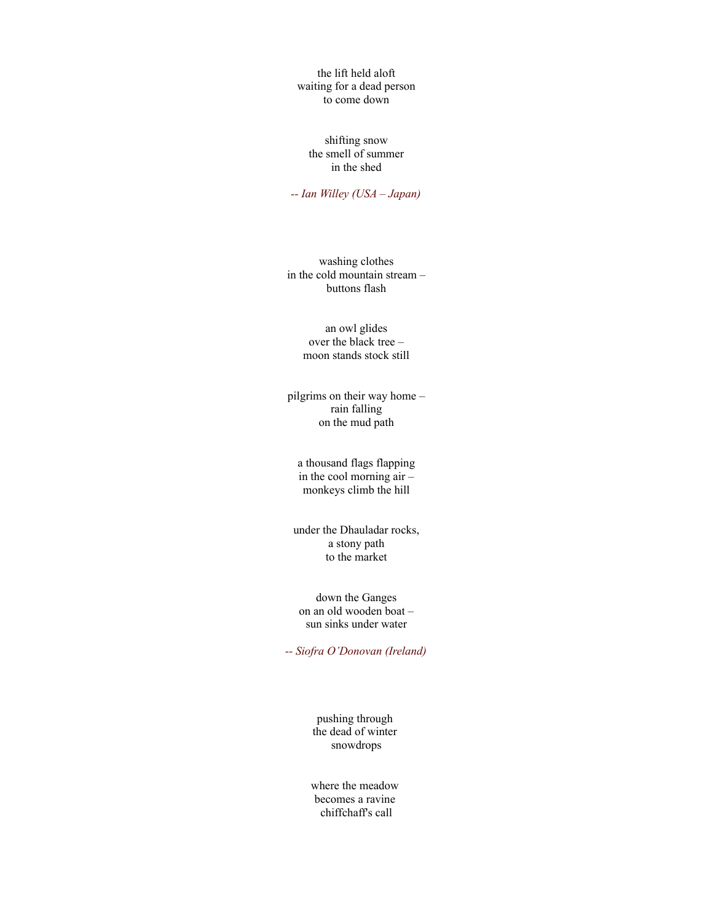the lift held aloft waiting for a dead person to come down

shifting snow the smell of summer in the shed

*-- Ian Willey (USA – Japan)*

washing clothes in the cold mountain stream – buttons flash

> an owl glides over the black tree – moon stands stock still

pilgrims on their way home – rain falling on the mud path

a thousand flags flapping in the cool morning air – monkeys climb the hill

under the Dhauladar rocks, a stony path to the market

down the Ganges on an old wooden boat – sun sinks under water

*-- Siofra O'Donovan (Ireland)*

pushing through the dead of winter snowdrops

where the meadow becomes a ravine chiffchaff's call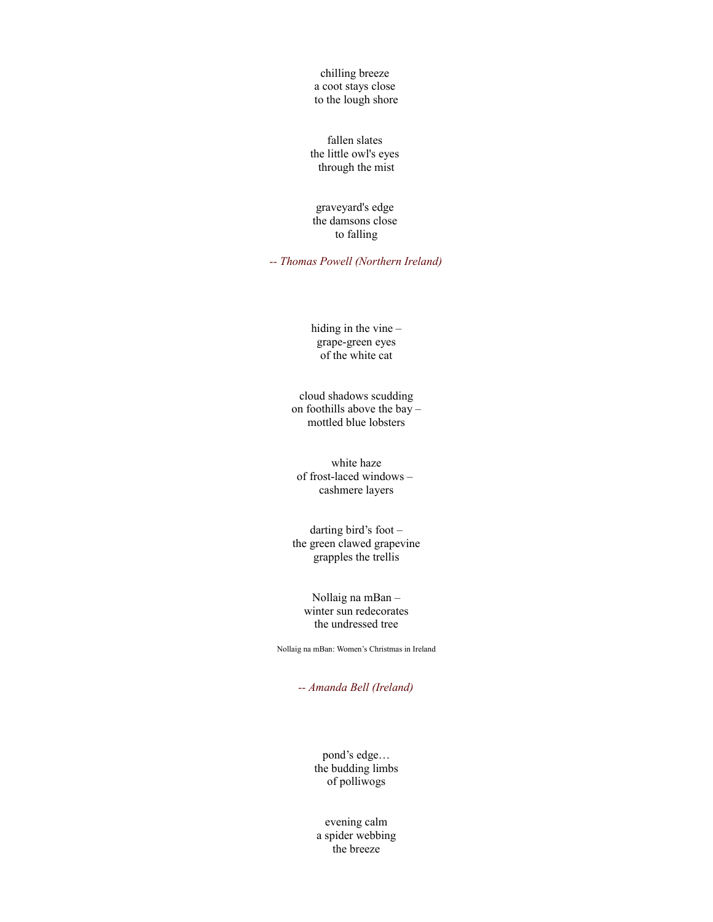chilling breeze a coot stays close to the lough shore

fallen slates the little owl's eyes through the mist

graveyard's edge the damsons close to falling

*-- Thomas Powell (Northern Ireland)*

hiding in the vine – grape-green eyes of the white cat

cloud shadows scudding on foothills above the bay – mottled blue lobsters

white haze of frost-laced windows – cashmere layers

darting bird's foot – the green clawed grapevine grapples the trellis

Nollaig na mBan – winter sun redecorates the undressed tree

Nollaig na mBan: Women's Christmas in Ireland

*-- Amanda Bell (Ireland)*

pond's edge… the budding limbs of polliwogs

evening calm a spider webbing the breeze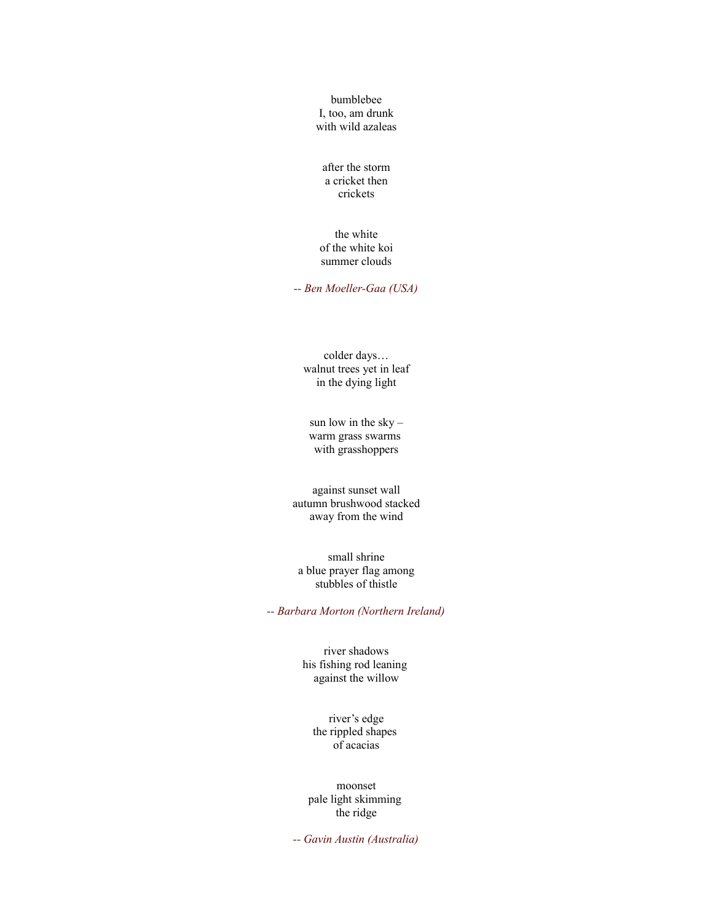bumblebee I, too, am drunk with wild azaleas

after the storm a cricket then crickets

the white of the white koi summer clouds

*-- Ben Moeller-Gaa (USA)*

colder days… walnut trees yet in leaf in the dying light

sun low in the sky – warm grass swarms with grasshoppers

against sunset wall autumn brushwood stacked away from the wind

small shrine a blue prayer flag among stubbles of thistle

*-- Barbara Morton (Northern Ireland)*

river shadows his fishing rod leaning against the willow

river's edge the rippled shapes of acacias

moonset pale light skimming the ridge

*-- Gavin Austin (Australia)*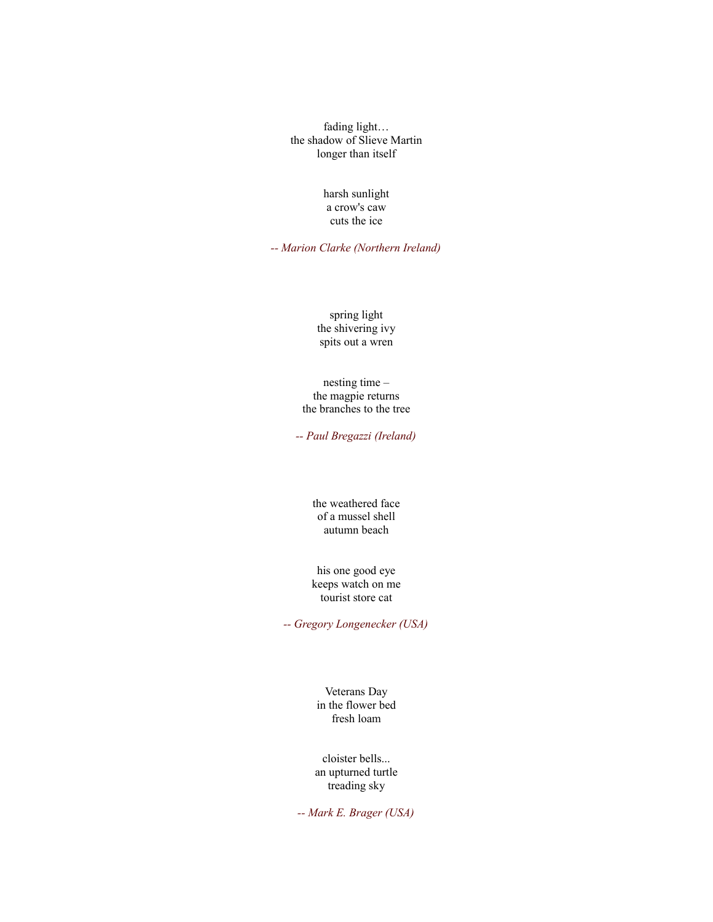fading light… the shadow of Slieve Martin longer than itself

#### harsh sunlight a crow's caw cuts the ice

*-- Marion Clarke (Northern Ireland)*

spring light the shivering ivy spits out a wren

nesting time – the magpie returns the branches to the tree

*-- Paul Bregazzi (Ireland)*

the weathered face of a mussel shell autumn beach

his one good eye keeps watch on me tourist store cat

*-- Gregory Longenecker (USA)*

Veterans Day in the flower bed fresh loam

cloister bells... an upturned turtle treading sky

*-- Mark E. Brager (USA)*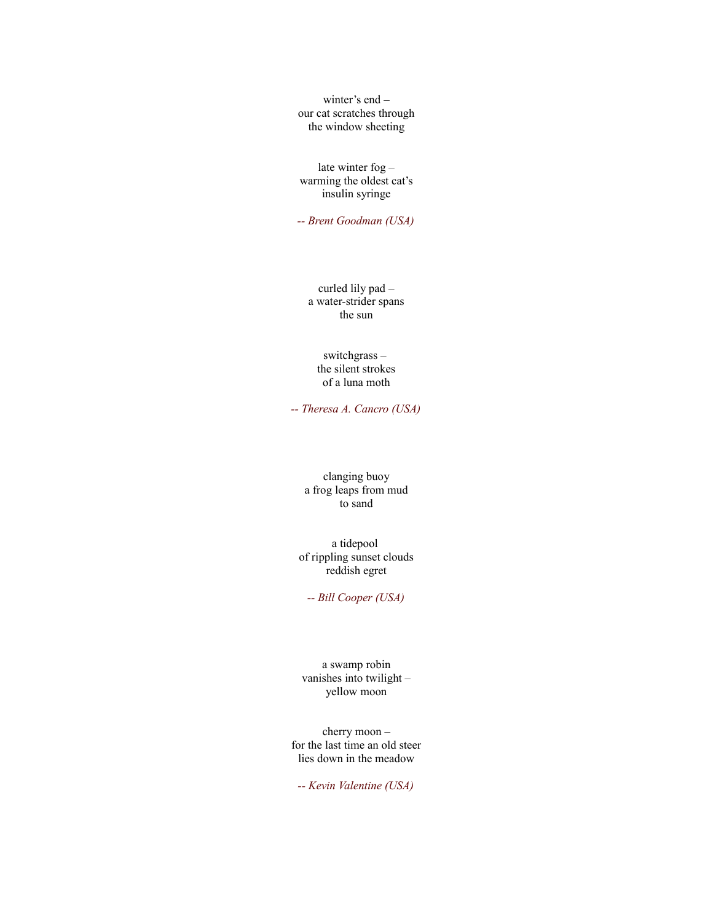winter's end – our cat scratches through the window sheeting

late winter fog – warming the oldest cat's insulin syringe

*-- Brent Goodman (USA)*

curled lily pad – a water-strider spans the sun

switchgrass – the silent strokes of a luna moth

*-- Theresa A. Cancro (USA)*

clanging buoy a frog leaps from mud to sand

a tidepool of rippling sunset clouds reddish egret

*-- Bill Cooper (USA)*

a swamp robin vanishes into twilight – yellow moon

cherry moon – for the last time an old steer lies down in the meadow

*-- Kevin Valentine (USA)*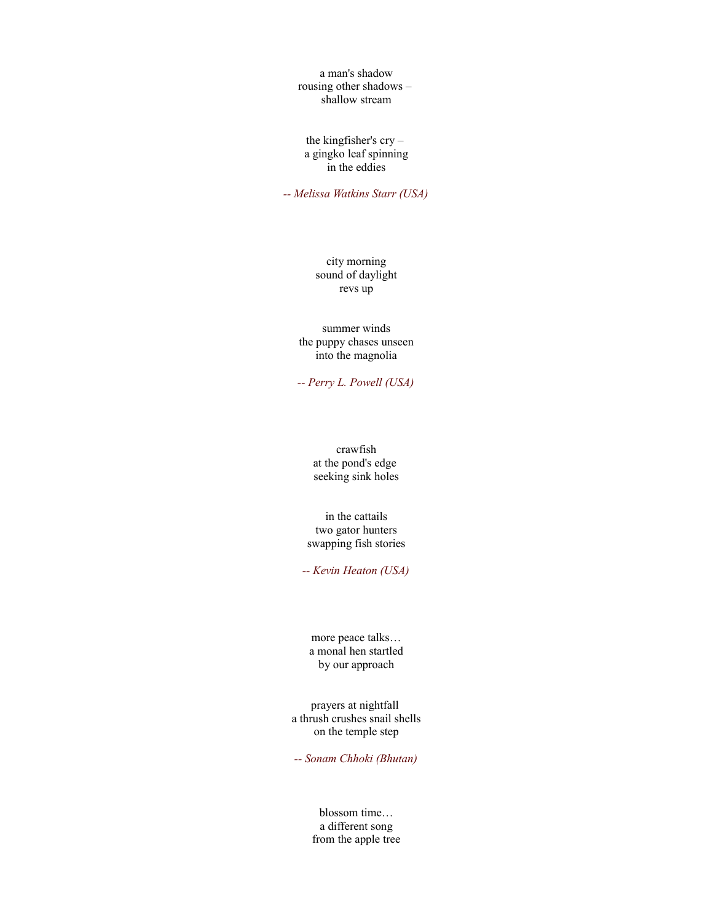a man's shadow rousing other shadows – shallow stream

the kingfisher's cry – a gingko leaf spinning in the eddies

*-- Melissa Watkins Starr (USA)*

city morning sound of daylight revs up

summer winds the puppy chases unseen into the magnolia

*-- Perry L. Powell (USA)*

crawfish at the pond's edge seeking sink holes

in the cattails two gator hunters swapping fish stories

*-- Kevin Heaton (USA)*

more peace talks… a monal hen startled by our approach

prayers at nightfall a thrush crushes snail shells on the temple step

*-- Sonam Chhoki (Bhutan)*

blossom time… a different song from the apple tree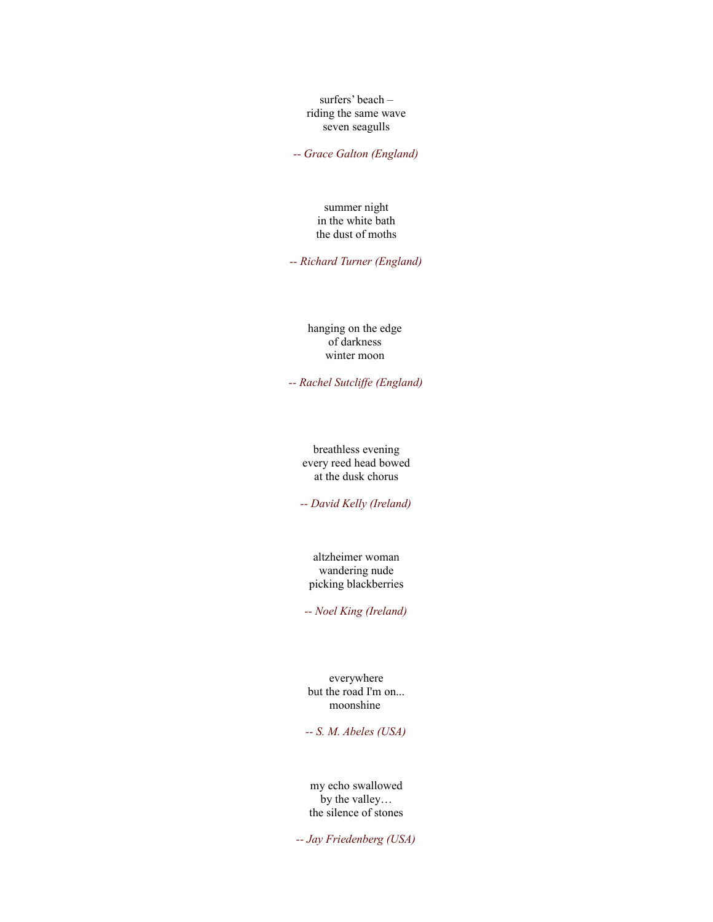surfers' beach – riding the same wave seven seagulls

*-- Grace Galton (England)*

summer night in the white bath the dust of moths

*-- Richard Turner (England)*

hanging on the edge of darkness winter moon

*-- Rachel Sutcliffe (England)*

breathless evening every reed head bowed at the dusk chorus

*-- David Kelly (Ireland)*

altzheimer woman wandering nude picking blackberries

*-- Noel King (Ireland)*

everywhere but the road I'm on... moonshine

*-- S. M. Abeles (USA)*

my echo swallowed by the valley… the silence of stones

*-- Jay Friedenberg (USA)*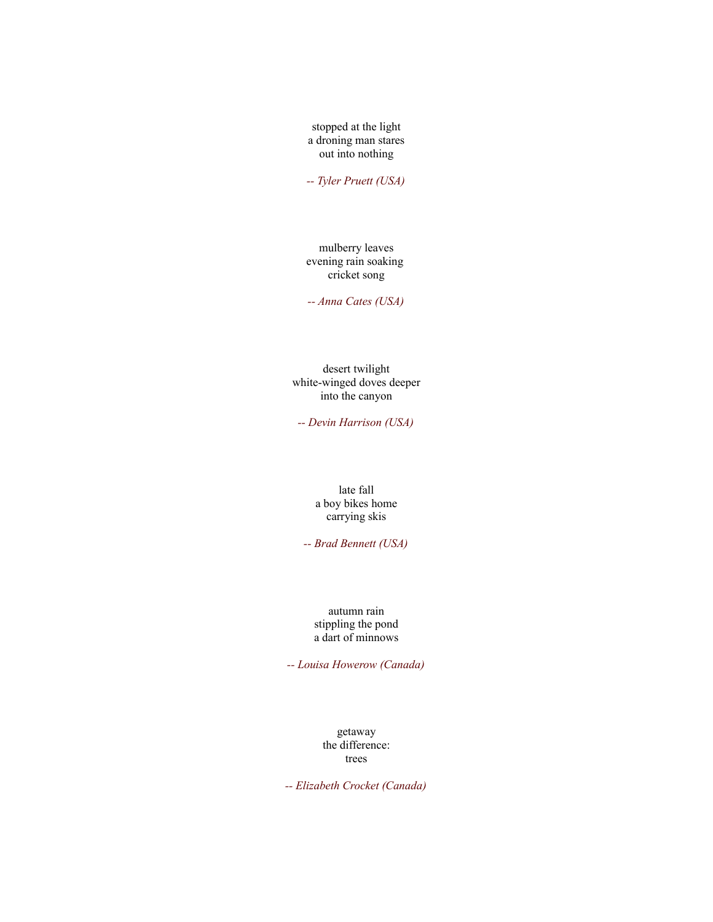stopped at the light a droning man stares out into nothing

*-- Tyler Pruett (USA)*

mulberry leaves evening rain soaking cricket song

*-- Anna Cates (USA)*

desert twilight white-winged doves deeper into the canyon

*-- Devin Harrison (USA)*

late fall a boy bikes home carrying skis

*-- Brad Bennett (USA)*

autumn rain stippling the pond a dart of minnows

*-- Louisa Howerow (Canada)*

getaway the difference: trees

*-- Elizabeth Crocket (Canada)*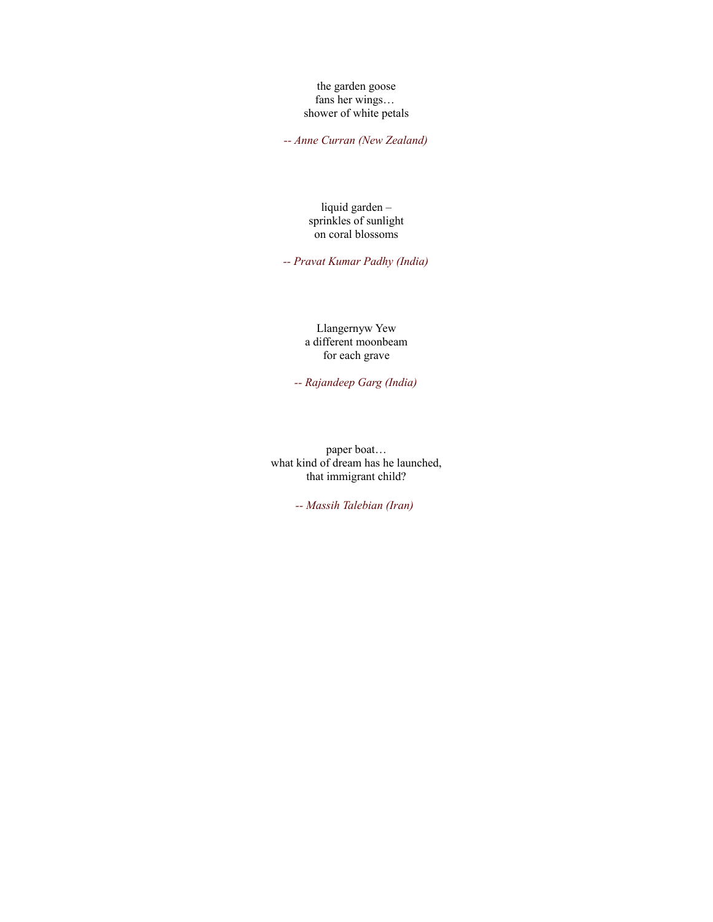the garden goose fans her wings… shower of white petals

*-- Anne Curran (New Zealand)*

liquid garden – sprinkles of sunlight on coral blossoms

*-- Pravat Kumar Padhy (India)*

Llangernyw Yew a different moonbeam for each grave

*-- Rajandeep Garg (India)*

paper boat… what kind of dream has he launched, that immigrant child?

*-- Massih Talebian (Iran)*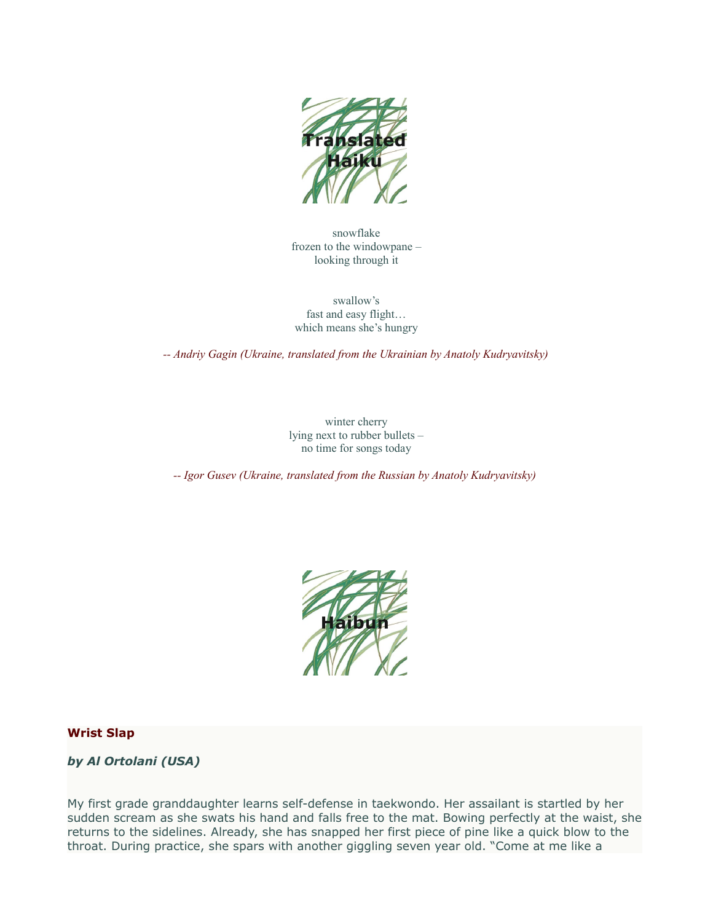

snowflake frozen to the windowpane – looking through it

swallow's fast and easy flight… which means she's hungry

*-- Andriy Gagin (Ukraine, translated from the Ukrainian by Anatoly Kudryavitsky)*

winter cherry lying next to rubber bullets – no time for songs today

*-- Igor Gusev (Ukraine, translated from the Russian by Anatoly Kudryavitsky)*



### **Wrist Slap**

### *by Al Ortolani (USA)*

My first grade granddaughter learns self-defense in taekwondo. Her assailant is startled by her sudden scream as she swats his hand and falls free to the mat. Bowing perfectly at the waist, she returns to the sidelines. Already, she has snapped her first piece of pine like a quick blow to the throat. During practice, she spars with another giggling seven year old. "Come at me like a